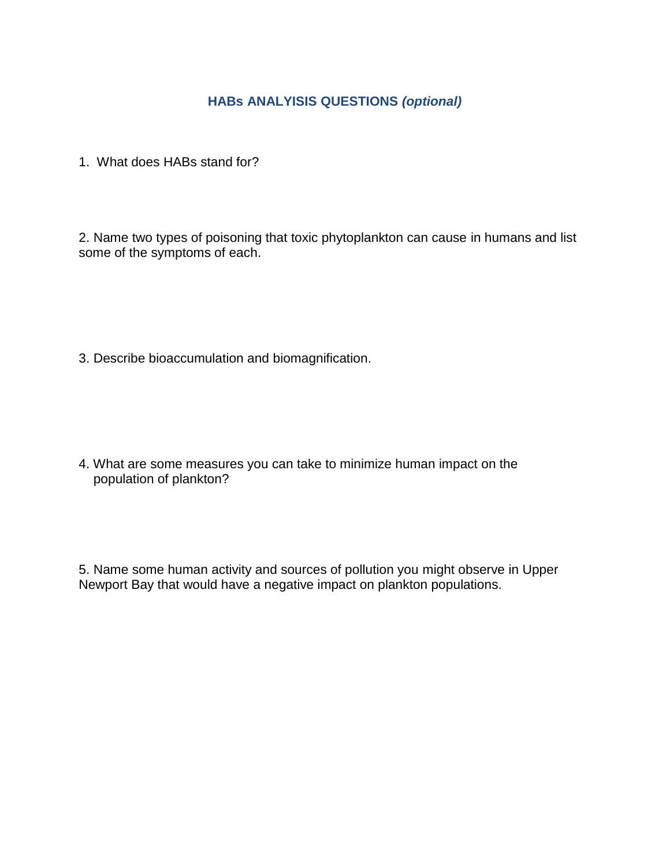## **HABs ANALYISIS QUESTIONS** *(optional)*

1. What does HABs stand for?

2. Name two types of poisoning that toxic phytoplankton can cause in humans and list some of the symptoms of each.

3. Describe bioaccumulation and biomagnification.

4. What are some measures you can take to minimize human impact on the population of plankton?

5. Name some human activity and sources of pollution you might observe in Upper Newport Bay that would have a negative impact on plankton populations.